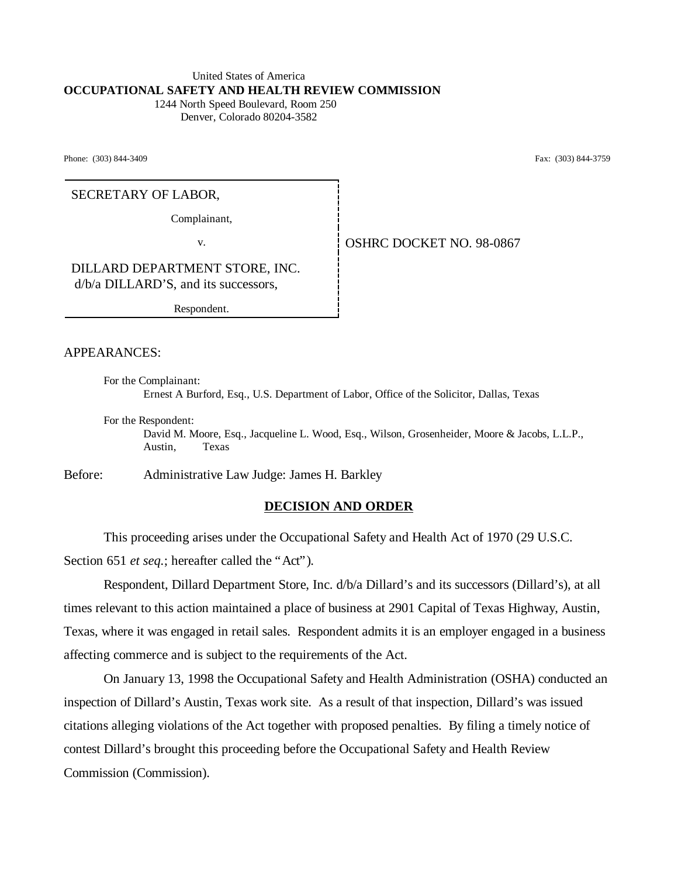#### United States of America **OCCUPATIONAL SAFETY AND HEALTH REVIEW COMMISSION** 1244 North Speed Boulevard, Room 250

Denver, Colorado 80204-3582

Phone: (303) 844-3409 Fax: (303) 844-3759

### SECRETARY OF LABOR,

Complainant,

v. Same **OSHRC DOCKET NO. 98-0867** 

DILLARD DEPARTMENT STORE, INC. d/b/a DILLARD'S, and its successors,

Respondent.

### APPEARANCES:

For the Complainant: Ernest A Burford, Esq., U.S. Department of Labor, Office of the Solicitor, Dallas, Texas

For the Respondent: David M. Moore, Esq., Jacqueline L. Wood, Esq., Wilson, Grosenheider, Moore & Jacobs, L.L.P., Austin, Texas

Before: Administrative Law Judge: James H. Barkley

#### **DECISION AND ORDER**

This proceeding arises under the Occupational Safety and Health Act of 1970 (29 U.S.C. Section 651 *et seq.*; hereafter called the "Act").

Respondent, Dillard Department Store, Inc. d/b/a Dillard's and its successors (Dillard's), at all times relevant to this action maintained a place of business at 2901 Capital of Texas Highway, Austin, Texas, where it was engaged in retail sales. Respondent admits it is an employer engaged in a business affecting commerce and is subject to the requirements of the Act.

On January 13, 1998 the Occupational Safety and Health Administration (OSHA) conducted an inspection of Dillard's Austin, Texas work site. As a result of that inspection, Dillard's was issued citations alleging violations of the Act together with proposed penalties. By filing a timely notice of contest Dillard's brought this proceeding before the Occupational Safety and Health Review Commission (Commission).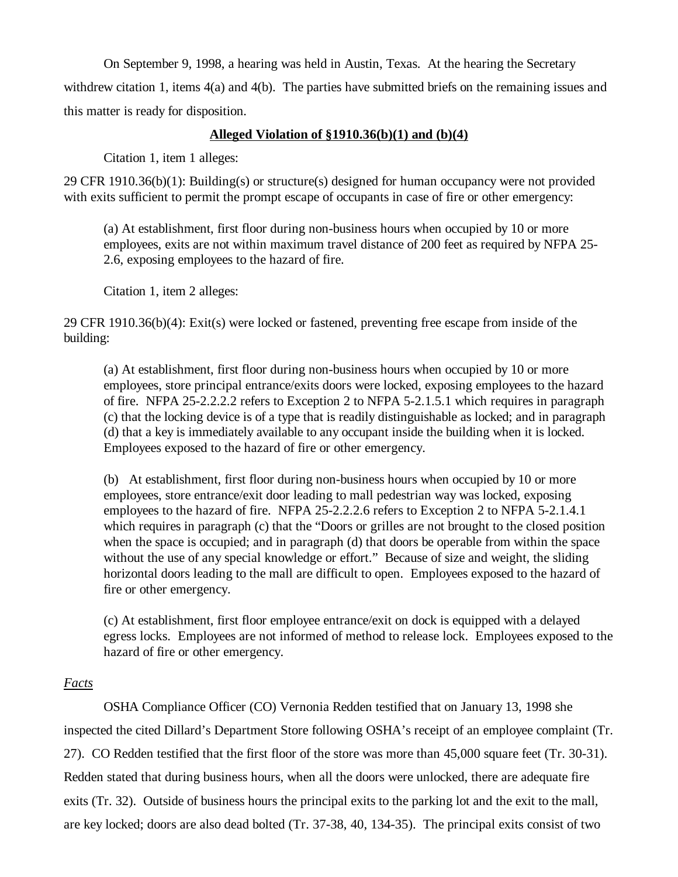On September 9, 1998, a hearing was held in Austin, Texas. At the hearing the Secretary withdrew citation 1, items 4(a) and 4(b). The parties have submitted briefs on the remaining issues and this matter is ready for disposition.

## **Alleged Violation of §1910.36(b)(1) and (b)(4)**

Citation 1, item 1 alleges:

29 CFR 1910.36(b)(1): Building(s) or structure(s) designed for human occupancy were not provided with exits sufficient to permit the prompt escape of occupants in case of fire or other emergency:

(a) At establishment, first floor during non-business hours when occupied by 10 or more employees, exits are not within maximum travel distance of 200 feet as required by NFPA 25- 2.6, exposing employees to the hazard of fire.

Citation 1, item 2 alleges:

29 CFR 1910.36(b)(4): Exit(s) were locked or fastened, preventing free escape from inside of the building:

(a) At establishment, first floor during non-business hours when occupied by 10 or more employees, store principal entrance/exits doors were locked, exposing employees to the hazard of fire. NFPA 25-2.2.2.2 refers to Exception 2 to NFPA 5-2.1.5.1 which requires in paragraph (c) that the locking device is of a type that is readily distinguishable as locked; and in paragraph (d) that a key is immediately available to any occupant inside the building when it is locked. Employees exposed to the hazard of fire or other emergency.

(b) At establishment, first floor during non-business hours when occupied by 10 or more employees, store entrance/exit door leading to mall pedestrian way was locked, exposing employees to the hazard of fire. NFPA 25-2.2.2.6 refers to Exception 2 to NFPA 5-2.1.4.1 which requires in paragraph (c) that the "Doors or grilles are not brought to the closed position when the space is occupied; and in paragraph (d) that doors be operable from within the space without the use of any special knowledge or effort." Because of size and weight, the sliding horizontal doors leading to the mall are difficult to open. Employees exposed to the hazard of fire or other emergency.

(c) At establishment, first floor employee entrance/exit on dock is equipped with a delayed egress locks. Employees are not informed of method to release lock. Employees exposed to the hazard of fire or other emergency.

# *Facts*

OSHA Compliance Officer (CO) Vernonia Redden testified that on January 13, 1998 she inspected the cited Dillard's Department Store following OSHA's receipt of an employee complaint (Tr. 27). CO Redden testified that the first floor of the store was more than 45,000 square feet (Tr. 30-31). Redden stated that during business hours, when all the doors were unlocked, there are adequate fire exits (Tr. 32). Outside of business hours the principal exits to the parking lot and the exit to the mall, are key locked; doors are also dead bolted (Tr. 37-38, 40, 134-35). The principal exits consist of two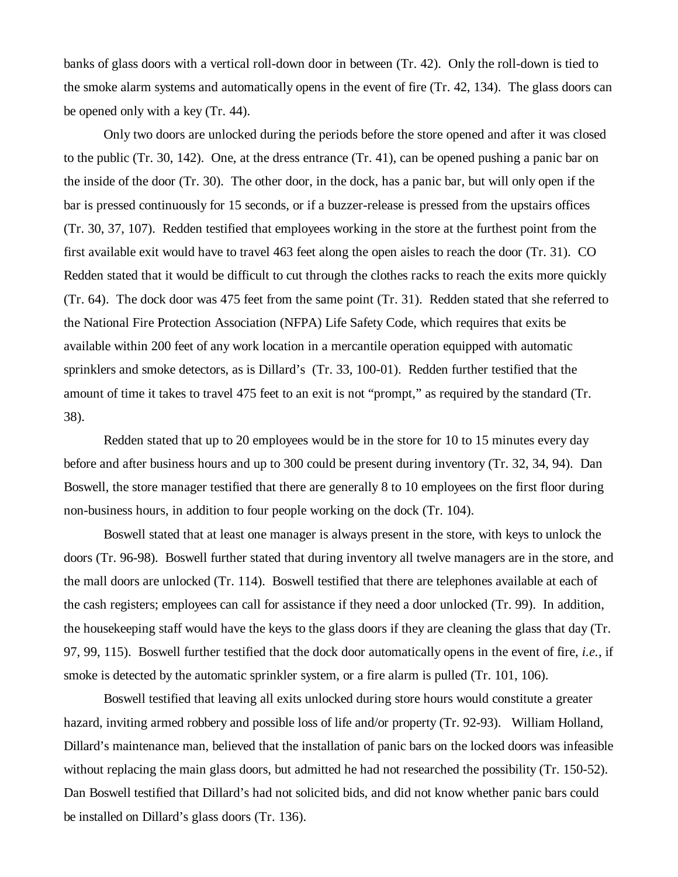banks of glass doors with a vertical roll-down door in between (Tr. 42). Only the roll-down is tied to the smoke alarm systems and automatically opens in the event of fire (Tr. 42, 134). The glass doors can be opened only with a key (Tr. 44).

Only two doors are unlocked during the periods before the store opened and after it was closed to the public (Tr. 30, 142). One, at the dress entrance (Tr. 41), can be opened pushing a panic bar on the inside of the door (Tr. 30). The other door, in the dock, has a panic bar, but will only open if the bar is pressed continuously for 15 seconds, or if a buzzer-release is pressed from the upstairs offices (Tr. 30, 37, 107). Redden testified that employees working in the store at the furthest point from the first available exit would have to travel 463 feet along the open aisles to reach the door (Tr. 31). CO Redden stated that it would be difficult to cut through the clothes racks to reach the exits more quickly (Tr. 64). The dock door was 475 feet from the same point (Tr. 31). Redden stated that she referred to the National Fire Protection Association (NFPA) Life Safety Code, which requires that exits be available within 200 feet of any work location in a mercantile operation equipped with automatic sprinklers and smoke detectors, as is Dillard's (Tr. 33, 100-01). Redden further testified that the amount of time it takes to travel 475 feet to an exit is not "prompt," as required by the standard (Tr. 38).

Redden stated that up to 20 employees would be in the store for 10 to 15 minutes every day before and after business hours and up to 300 could be present during inventory (Tr. 32, 34, 94). Dan Boswell, the store manager testified that there are generally 8 to 10 employees on the first floor during non-business hours, in addition to four people working on the dock (Tr. 104).

Boswell stated that at least one manager is always present in the store, with keys to unlock the doors (Tr. 96-98). Boswell further stated that during inventory all twelve managers are in the store, and the mall doors are unlocked (Tr. 114). Boswell testified that there are telephones available at each of the cash registers; employees can call for assistance if they need a door unlocked (Tr. 99). In addition, the housekeeping staff would have the keys to the glass doors if they are cleaning the glass that day (Tr. 97, 99, 115). Boswell further testified that the dock door automatically opens in the event of fire, *i.e.*, if smoke is detected by the automatic sprinkler system, or a fire alarm is pulled (Tr. 101, 106).

Boswell testified that leaving all exits unlocked during store hours would constitute a greater hazard, inviting armed robbery and possible loss of life and/or property (Tr. 92-93). William Holland, Dillard's maintenance man, believed that the installation of panic bars on the locked doors was infeasible without replacing the main glass doors, but admitted he had not researched the possibility (Tr. 150-52). Dan Boswell testified that Dillard's had not solicited bids, and did not know whether panic bars could be installed on Dillard's glass doors (Tr. 136).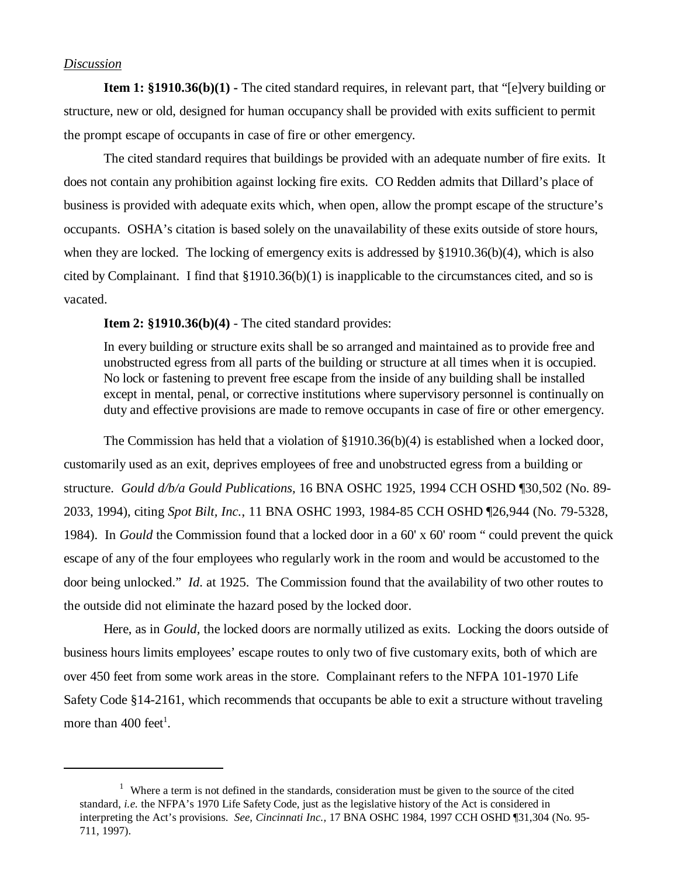### *Discussion*

**Item 1: §1910.36(b)(1)** - The cited standard requires, in relevant part, that "[e]very building or structure, new or old, designed for human occupancy shall be provided with exits sufficient to permit the prompt escape of occupants in case of fire or other emergency.

The cited standard requires that buildings be provided with an adequate number of fire exits. It does not contain any prohibition against locking fire exits. CO Redden admits that Dillard's place of business is provided with adequate exits which, when open, allow the prompt escape of the structure's occupants. OSHA's citation is based solely on the unavailability of these exits outside of store hours, when they are locked. The locking of emergency exits is addressed by §1910.36(b)(4), which is also cited by Complainant. I find that  $\S 1910.36(b)(1)$  is inapplicable to the circumstances cited, and so is vacated.

**Item 2: §1910.36(b)(4)** - The cited standard provides:

In every building or structure exits shall be so arranged and maintained as to provide free and unobstructed egress from all parts of the building or structure at all times when it is occupied. No lock or fastening to prevent free escape from the inside of any building shall be installed except in mental, penal, or corrective institutions where supervisory personnel is continually on duty and effective provisions are made to remove occupants in case of fire or other emergency.

The Commission has held that a violation of §1910.36(b)(4) is established when a locked door, customarily used as an exit, deprives employees of free and unobstructed egress from a building or structure. *Gould d/b/a Gould Publications,* 16 BNA OSHC 1925, 1994 CCH OSHD ¶30,502 (No. 89- 2033, 1994), citing *Spot Bilt, Inc.*, 11 BNA OSHC 1993, 1984-85 CCH OSHD ¶26,944 (No. 79-5328, 1984). In *Gould* the Commission found that a locked door in a 60' x 60' room " could prevent the quick escape of any of the four employees who regularly work in the room and would be accustomed to the door being unlocked." *Id*. at 1925. The Commission found that the availability of two other routes to the outside did not eliminate the hazard posed by the locked door.

Here, as in *Gould,* the locked doors are normally utilized as exits. Locking the doors outside of business hours limits employees' escape routes to only two of five customary exits, both of which are over 450 feet from some work areas in the store. Complainant refers to the NFPA 101-1970 Life Safety Code §14-2161, which recommends that occupants be able to exit a structure without traveling more than  $400$  feet<sup>1</sup>.

<sup>&</sup>lt;sup>1</sup> Where a term is not defined in the standards, consideration must be given to the source of the cited standard, *i.e.* the NFPA's 1970 Life Safety Code, just as the legislative history of the Act is considered in interpreting the Act's provisions. *See, Cincinnati Inc.,* 17 BNA OSHC 1984, 1997 CCH OSHD ¶31,304 (No. 95- 711, 1997).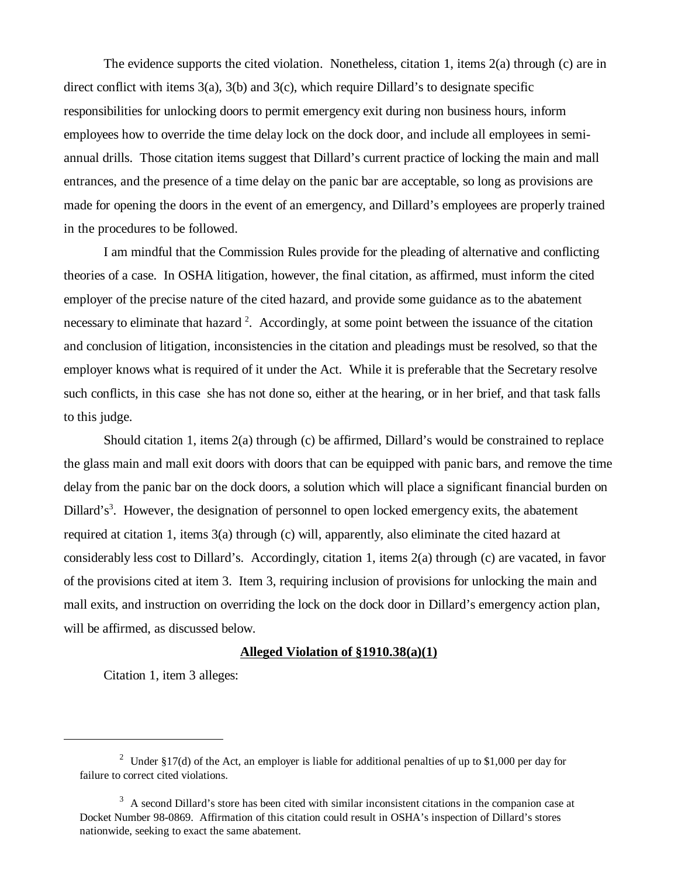The evidence supports the cited violation. Nonetheless, citation 1, items 2(a) through (c) are in direct conflict with items  $3(a)$ ,  $3(b)$  and  $3(c)$ , which require Dillard's to designate specific responsibilities for unlocking doors to permit emergency exit during non business hours, inform employees how to override the time delay lock on the dock door, and include all employees in semiannual drills. Those citation items suggest that Dillard's current practice of locking the main and mall entrances, and the presence of a time delay on the panic bar are acceptable, so long as provisions are made for opening the doors in the event of an emergency, and Dillard's employees are properly trained in the procedures to be followed.

I am mindful that the Commission Rules provide for the pleading of alternative and conflicting theories of a case. In OSHA litigation, however, the final citation, as affirmed, must inform the cited employer of the precise nature of the cited hazard, and provide some guidance as to the abatement necessary to eliminate that hazard<sup>2</sup>. Accordingly, at some point between the issuance of the citation and conclusion of litigation, inconsistencies in the citation and pleadings must be resolved, so that the employer knows what is required of it under the Act. While it is preferable that the Secretary resolve such conflicts, in this case she has not done so, either at the hearing, or in her brief, and that task falls to this judge.

Should citation 1, items 2(a) through (c) be affirmed, Dillard's would be constrained to replace the glass main and mall exit doors with doors that can be equipped with panic bars, and remove the time delay from the panic bar on the dock doors, a solution which will place a significant financial burden on Dillard's<sup>3</sup>. However, the designation of personnel to open locked emergency exits, the abatement required at citation 1, items 3(a) through (c) will, apparently, also eliminate the cited hazard at considerably less cost to Dillard's. Accordingly, citation 1, items 2(a) through (c) are vacated, in favor of the provisions cited at item 3. Item 3, requiring inclusion of provisions for unlocking the main and mall exits, and instruction on overriding the lock on the dock door in Dillard's emergency action plan, will be affirmed, as discussed below.

### **Alleged Violation of §1910.38(a)(1)**

Citation 1, item 3 alleges:

<sup>&</sup>lt;sup>2</sup> Under §17(d) of the Act, an employer is liable for additional penalties of up to \$1,000 per day for failure to correct cited violations.

 $3\,$  A second Dillard's store has been cited with similar inconsistent citations in the companion case at Docket Number 98-0869. Affirmation of this citation could result in OSHA's inspection of Dillard's stores nationwide, seeking to exact the same abatement.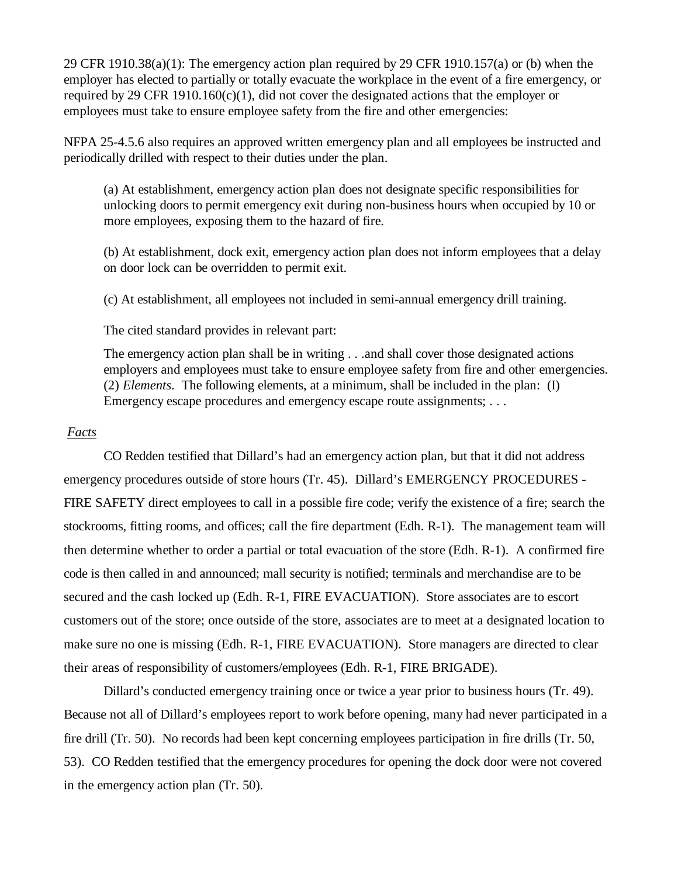29 CFR 1910.38(a)(1): The emergency action plan required by 29 CFR 1910.157(a) or (b) when the employer has elected to partially or totally evacuate the workplace in the event of a fire emergency, or required by 29 CFR 1910.160 $(c)(1)$ , did not cover the designated actions that the employer or employees must take to ensure employee safety from the fire and other emergencies:

NFPA 25-4.5.6 also requires an approved written emergency plan and all employees be instructed and periodically drilled with respect to their duties under the plan.

(a) At establishment, emergency action plan does not designate specific responsibilities for unlocking doors to permit emergency exit during non-business hours when occupied by 10 or more employees, exposing them to the hazard of fire.

(b) At establishment, dock exit, emergency action plan does not inform employees that a delay on door lock can be overridden to permit exit.

(c) At establishment, all employees not included in semi-annual emergency drill training.

The cited standard provides in relevant part:

The emergency action plan shall be in writing . . .and shall cover those designated actions employers and employees must take to ensure employee safety from fire and other emergencies. (2) *Elements*. The following elements, at a minimum, shall be included in the plan: (I) Emergency escape procedures and emergency escape route assignments; . . .

### *Facts*

CO Redden testified that Dillard's had an emergency action plan, but that it did not address emergency procedures outside of store hours (Tr. 45). Dillard's EMERGENCY PROCEDURES - FIRE SAFETY direct employees to call in a possible fire code; verify the existence of a fire; search the stockrooms, fitting rooms, and offices; call the fire department (Edh. R-1). The management team will then determine whether to order a partial or total evacuation of the store (Edh. R-1). A confirmed fire code is then called in and announced; mall security is notified; terminals and merchandise are to be secured and the cash locked up (Edh. R-1, FIRE EVACUATION). Store associates are to escort customers out of the store; once outside of the store, associates are to meet at a designated location to make sure no one is missing (Edh. R-1, FIRE EVACUATION). Store managers are directed to clear their areas of responsibility of customers/employees (Edh. R-1, FIRE BRIGADE).

Dillard's conducted emergency training once or twice a year prior to business hours (Tr. 49). Because not all of Dillard's employees report to work before opening, many had never participated in a fire drill (Tr. 50). No records had been kept concerning employees participation in fire drills (Tr. 50, 53). CO Redden testified that the emergency procedures for opening the dock door were not covered in the emergency action plan (Tr. 50).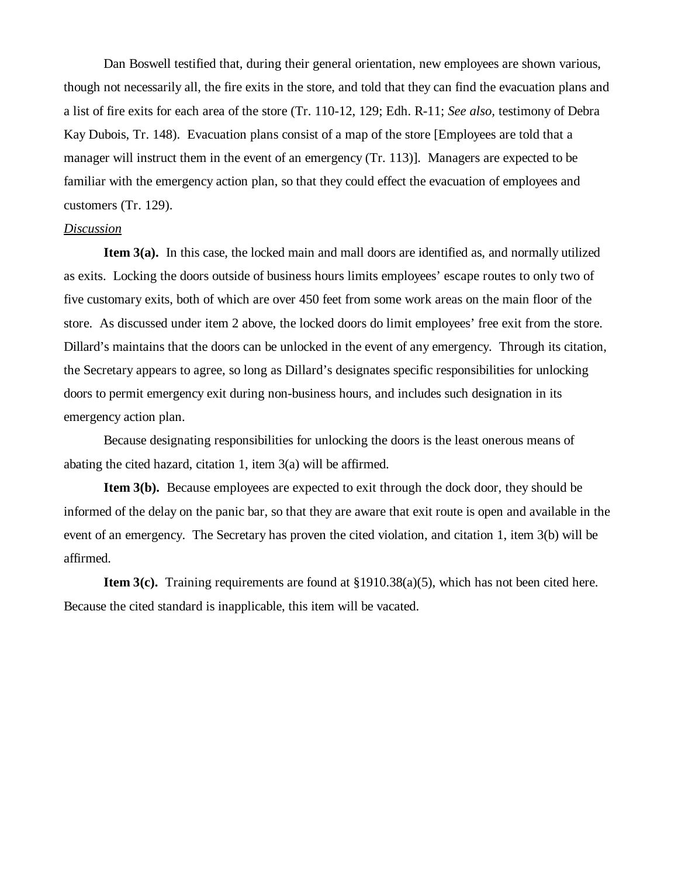Dan Boswell testified that, during their general orientation, new employees are shown various, though not necessarily all, the fire exits in the store, and told that they can find the evacuation plans and a list of fire exits for each area of the store (Tr. 110-12, 129; Edh. R-11; *See also,* testimony of Debra Kay Dubois, Tr. 148). Evacuation plans consist of a map of the store [Employees are told that a manager will instruct them in the event of an emergency (Tr. 113)]. Managers are expected to be familiar with the emergency action plan, so that they could effect the evacuation of employees and customers (Tr. 129).

### *Discussion*

**Item 3(a).** In this case, the locked main and mall doors are identified as, and normally utilized as exits. Locking the doors outside of business hours limits employees' escape routes to only two of five customary exits, both of which are over 450 feet from some work areas on the main floor of the store. As discussed under item 2 above, the locked doors do limit employees' free exit from the store. Dillard's maintains that the doors can be unlocked in the event of any emergency. Through its citation, the Secretary appears to agree, so long as Dillard's designates specific responsibilities for unlocking doors to permit emergency exit during non-business hours, and includes such designation in its emergency action plan.

Because designating responsibilities for unlocking the doors is the least onerous means of abating the cited hazard, citation 1, item 3(a) will be affirmed.

**Item 3(b).** Because employees are expected to exit through the dock door, they should be informed of the delay on the panic bar, so that they are aware that exit route is open and available in the event of an emergency. The Secretary has proven the cited violation, and citation 1, item 3(b) will be affirmed.

**Item 3(c).** Training requirements are found at §1910.38(a)(5), which has not been cited here. Because the cited standard is inapplicable, this item will be vacated.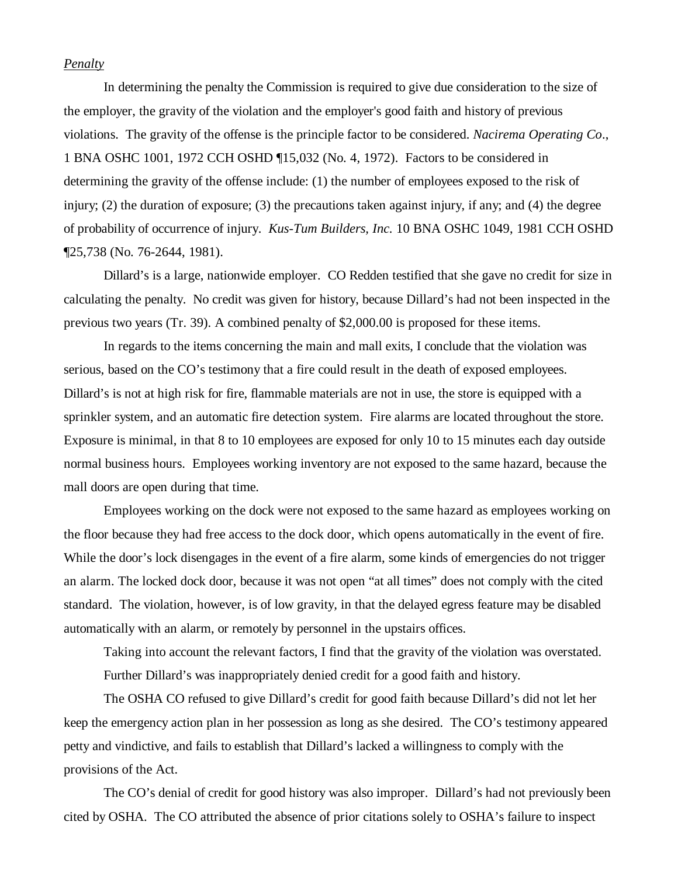### *Penalty*

In determining the penalty the Commission is required to give due consideration to the size of the employer, the gravity of the violation and the employer's good faith and history of previous violations. The gravity of the offense is the principle factor to be considered. *Nacirema Operating Co*., 1 BNA OSHC 1001, 1972 CCH OSHD ¶15,032 (No. 4, 1972). Factors to be considered in determining the gravity of the offense include: (1) the number of employees exposed to the risk of injury; (2) the duration of exposure; (3) the precautions taken against injury, if any; and (4) the degree of probability of occurrence of injury. *Kus-Tum Builders, Inc.* 10 BNA OSHC 1049, 1981 CCH OSHD ¶25,738 (No. 76-2644, 1981).

Dillard's is a large, nationwide employer. CO Redden testified that she gave no credit for size in calculating the penalty. No credit was given for history, because Dillard's had not been inspected in the previous two years (Tr. 39). A combined penalty of \$2,000.00 is proposed for these items.

In regards to the items concerning the main and mall exits, I conclude that the violation was serious, based on the CO's testimony that a fire could result in the death of exposed employees. Dillard's is not at high risk for fire, flammable materials are not in use, the store is equipped with a sprinkler system, and an automatic fire detection system. Fire alarms are located throughout the store. Exposure is minimal, in that 8 to 10 employees are exposed for only 10 to 15 minutes each day outside normal business hours. Employees working inventory are not exposed to the same hazard, because the mall doors are open during that time.

Employees working on the dock were not exposed to the same hazard as employees working on the floor because they had free access to the dock door, which opens automatically in the event of fire. While the door's lock disengages in the event of a fire alarm, some kinds of emergencies do not trigger an alarm. The locked dock door, because it was not open "at all times" does not comply with the cited standard. The violation, however, is of low gravity*,* in that the delayed egress feature may be disabled automatically with an alarm, or remotely by personnel in the upstairs offices.

Taking into account the relevant factors, I find that the gravity of the violation was overstated.

Further Dillard's was inappropriately denied credit for a good faith and history.

The OSHA CO refused to give Dillard's credit for good faith because Dillard's did not let her keep the emergency action plan in her possession as long as she desired. The CO's testimony appeared petty and vindictive, and fails to establish that Dillard's lacked a willingness to comply with the provisions of the Act.

The CO's denial of credit for good history was also improper. Dillard's had not previously been cited by OSHA. The CO attributed the absence of prior citations solely to OSHA's failure to inspect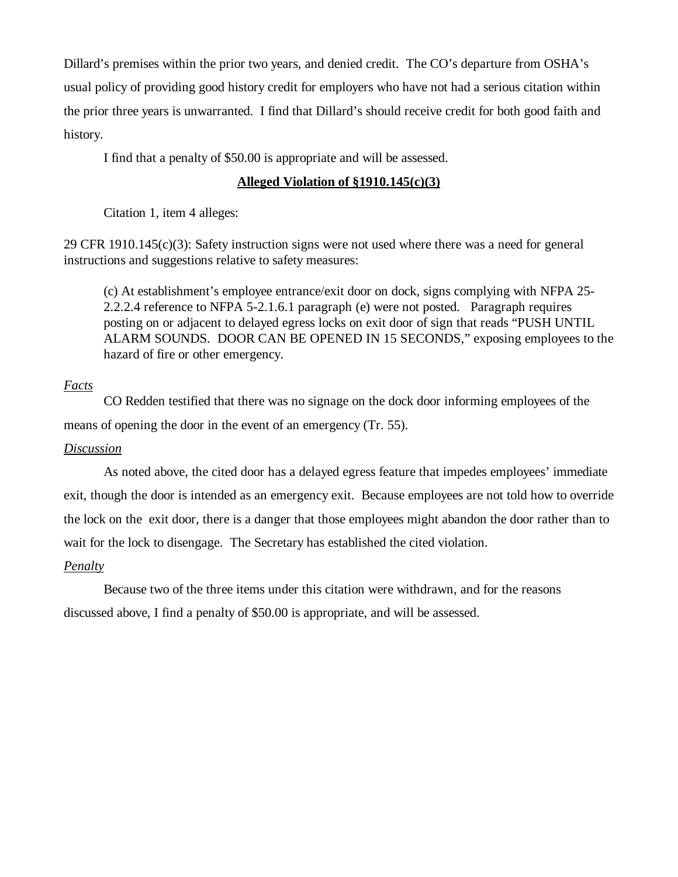Dillard's premises within the prior two years, and denied credit. The CO's departure from OSHA's usual policy of providing good history credit for employers who have not had a serious citation within the prior three years is unwarranted. I find that Dillard's should receive credit for both good faith and history.

I find that a penalty of \$50.00 is appropriate and will be assessed.

# **Alleged Violation of §1910.145(c)(3)**

Citation 1, item 4 alleges:

29 CFR 1910.145(c)(3): Safety instruction signs were not used where there was a need for general instructions and suggestions relative to safety measures:

(c) At establishment's employee entrance/exit door on dock, signs complying with NFPA 25- 2.2.2.4 reference to NFPA 5-2.1.6.1 paragraph (e) were not posted. Paragraph requires posting on or adjacent to delayed egress locks on exit door of sign that reads "PUSH UNTIL ALARM SOUNDS. DOOR CAN BE OPENED IN 15 SECONDS," exposing employees to the hazard of fire or other emergency.

# *Facts*

CO Redden testified that there was no signage on the dock door informing employees of the means of opening the door in the event of an emergency (Tr. 55).

# *Discussion*

As noted above, the cited door has a delayed egress feature that impedes employees' immediate exit, though the door is intended as an emergency exit. Because employees are not told how to override the lock on the exit door, there is a danger that those employees might abandon the door rather than to wait for the lock to disengage. The Secretary has established the cited violation.

# *Penalty*

Because two of the three items under this citation were withdrawn, and for the reasons discussed above, I find a penalty of \$50.00 is appropriate, and will be assessed.